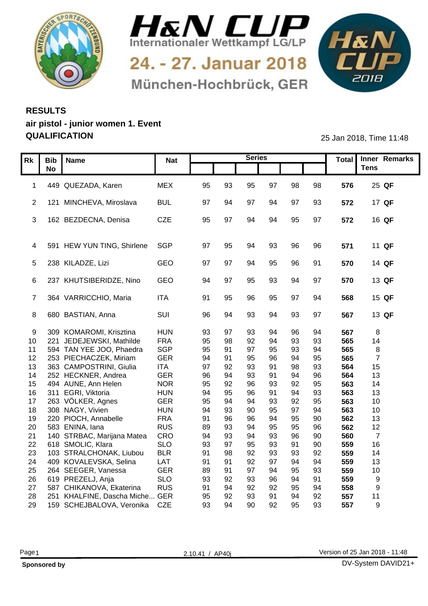



24. - 27. Januar 2018 München-Hochbrück, GER



## **RESULTS air pistol - junior women 1. Event QUALIFICATION** 25 Jan 2018, Time 11:48

| Rk Bib Name<br>Nat<br><b>Tens</b><br>1 449 QUEZADA, Karen<br><b>MEX</b><br>98<br>98<br>576<br>25 QF<br>93<br>95<br>97<br>95<br><b>BUL</b><br>2 121 MINCHEVA, Miroslava<br>94<br>97<br>93<br>572<br>17 QF<br>-97<br>97<br>3 162 BEZDECNA, Denisa<br>CZE<br>572<br>97<br>94<br>95<br>97<br>16 QF<br>95<br>94<br>4 591 HEW YUN TING, Shirlene<br>SGP<br>571<br>11 QF<br>-97<br>93<br>96<br>96<br>5 238 KILADZE, Lizi<br>GEO<br>570<br>14 QF<br>-97<br>-91<br>95<br>6 237 KHUTSIBERIDZE, Nino<br>GEO<br>94<br>97<br>93<br>570<br>13 QF<br>95<br>94<br>97<br>7 364 VARRICCHIO, Maria<br><b>ITA</b><br>97<br>94<br>568<br>15 QF<br>95<br>96<br>95<br>91<br>SUI<br>8 680 BASTIAN, Anna<br>93<br>94<br>93<br>97<br>567<br>96<br>94<br>13 QF<br>9 309 KOMAROMI, Krisztina<br><b>HUN</b><br>93<br>567<br><b>FRA</b><br>95<br>10 221 JEDEJEWSKI, Mathilde<br>93<br>565<br>98<br>$Q_4$<br>93<br>14<br>92<br>SGP<br>11 594 TAN YEE JOO, Phaedra<br>95<br>94<br>565<br>-91<br>97<br>95<br>93<br>- 8<br>GER<br>95<br>12 253 PIECHACZEK, Miriam<br>94<br>95<br>96<br>565<br>$\overline{7}$<br><b>ITA</b><br>13 363 CAMPOSTRINI, Giulia<br>97<br>15 <sub>15</sub><br>93<br>564<br>92<br>93<br>91<br><b>GER</b><br>14 252 HECKNER, Andrea<br>96<br>96<br>564<br>13<br>-94<br>93<br>91<br><b>NOR</b><br>95<br>15 494 AUNE, Ann Helen<br>95<br>92<br>96<br>93<br>92<br>563<br>14<br><b>HUN</b><br>93<br>13<br>16 311 EGRI, Viktoria<br>94<br>95<br>96<br>91<br>563<br>94<br>GER<br>17 263 VÖLKER, Agnes<br>95<br>10 <sup>°</sup><br>95<br>93<br>92<br>563<br><b>HUN</b><br>18 308 NAGY, Vivien<br>94<br>94<br>563<br>10<br>93<br>95<br>90<br><b>FRA</b><br>90<br>562<br>13<br>19 220 PIOCH, Annabelle<br>91<br>96<br>$Q_{\Delta}$<br><b>RUS</b><br>12<br>96<br>562<br>20 583 ENINA, lana<br>89<br>95<br>95<br>93<br>CRO<br>94<br>90<br>560<br>$\overline{7}$<br>21 140 STRBAC, Marijana Matea<br>93<br>93<br>96<br><b>SLO</b><br>16<br>22 618 SMOLIC, Klara<br>93<br>-97<br>93<br>90<br>559<br>95<br>.91<br><b>BLR</b><br>23 103 STRALCHONAK, Liubou<br>91<br>92<br>559<br>14<br>98<br>92<br>93<br>93<br>LAT<br>94<br>24 409 KOVALEVSKA, Selina<br>91<br>Q <sub>1</sub><br>92<br>Q <sub>7</sub><br>94<br>559<br>13<br><b>GER</b><br>25 264 SEEGER, Vanessa<br>93<br>10 <sub>1</sub><br>89<br>97<br>QΔ<br>95<br>559<br>- Q1<br><b>SLO</b><br>91<br>26 619 PREZELJ, Anja<br>93<br>92<br>93<br>96<br>559<br>- 9<br><b>RUS</b><br>27 587 CHIKANOVA, Ekaterina<br>91<br>94<br>92<br>558<br>$\mathsf{Q}$<br>92<br>28 251 KHALFINE, Dascha Miche GER<br>95<br>92<br>92<br>557<br>11<br>91<br>93<br><b>Q</b> |                                  |    |    | <b>Series</b> |    |    |    |     | Total Inner Remarks |
|----------------------------------------------------------------------------------------------------------------------------------------------------------------------------------------------------------------------------------------------------------------------------------------------------------------------------------------------------------------------------------------------------------------------------------------------------------------------------------------------------------------------------------------------------------------------------------------------------------------------------------------------------------------------------------------------------------------------------------------------------------------------------------------------------------------------------------------------------------------------------------------------------------------------------------------------------------------------------------------------------------------------------------------------------------------------------------------------------------------------------------------------------------------------------------------------------------------------------------------------------------------------------------------------------------------------------------------------------------------------------------------------------------------------------------------------------------------------------------------------------------------------------------------------------------------------------------------------------------------------------------------------------------------------------------------------------------------------------------------------------------------------------------------------------------------------------------------------------------------------------------------------------------------------------------------------------------------------------------------------------------------------------------------------------------------------------------------------------------------------------------------------------------------------------------------------------------------------------------------------------------------------------------------------------------------------------------------------------------------------------------------------------------------------------------------------------------------------------------------------------------------------------------------------------------------------------------|----------------------------------|----|----|---------------|----|----|----|-----|---------------------|
|                                                                                                                                                                                                                                                                                                                                                                                                                                                                                                                                                                                                                                                                                                                                                                                                                                                                                                                                                                                                                                                                                                                                                                                                                                                                                                                                                                                                                                                                                                                                                                                                                                                                                                                                                                                                                                                                                                                                                                                                                                                                                                                                                                                                                                                                                                                                                                                                                                                                                                                                                                                  |                                  |    |    |               |    |    |    |     |                     |
|                                                                                                                                                                                                                                                                                                                                                                                                                                                                                                                                                                                                                                                                                                                                                                                                                                                                                                                                                                                                                                                                                                                                                                                                                                                                                                                                                                                                                                                                                                                                                                                                                                                                                                                                                                                                                                                                                                                                                                                                                                                                                                                                                                                                                                                                                                                                                                                                                                                                                                                                                                                  |                                  |    |    |               |    |    |    |     |                     |
|                                                                                                                                                                                                                                                                                                                                                                                                                                                                                                                                                                                                                                                                                                                                                                                                                                                                                                                                                                                                                                                                                                                                                                                                                                                                                                                                                                                                                                                                                                                                                                                                                                                                                                                                                                                                                                                                                                                                                                                                                                                                                                                                                                                                                                                                                                                                                                                                                                                                                                                                                                                  |                                  |    |    |               |    |    |    |     |                     |
|                                                                                                                                                                                                                                                                                                                                                                                                                                                                                                                                                                                                                                                                                                                                                                                                                                                                                                                                                                                                                                                                                                                                                                                                                                                                                                                                                                                                                                                                                                                                                                                                                                                                                                                                                                                                                                                                                                                                                                                                                                                                                                                                                                                                                                                                                                                                                                                                                                                                                                                                                                                  |                                  |    |    |               |    |    |    |     |                     |
|                                                                                                                                                                                                                                                                                                                                                                                                                                                                                                                                                                                                                                                                                                                                                                                                                                                                                                                                                                                                                                                                                                                                                                                                                                                                                                                                                                                                                                                                                                                                                                                                                                                                                                                                                                                                                                                                                                                                                                                                                                                                                                                                                                                                                                                                                                                                                                                                                                                                                                                                                                                  |                                  |    |    |               |    |    |    |     |                     |
|                                                                                                                                                                                                                                                                                                                                                                                                                                                                                                                                                                                                                                                                                                                                                                                                                                                                                                                                                                                                                                                                                                                                                                                                                                                                                                                                                                                                                                                                                                                                                                                                                                                                                                                                                                                                                                                                                                                                                                                                                                                                                                                                                                                                                                                                                                                                                                                                                                                                                                                                                                                  |                                  |    |    |               |    |    |    |     |                     |
|                                                                                                                                                                                                                                                                                                                                                                                                                                                                                                                                                                                                                                                                                                                                                                                                                                                                                                                                                                                                                                                                                                                                                                                                                                                                                                                                                                                                                                                                                                                                                                                                                                                                                                                                                                                                                                                                                                                                                                                                                                                                                                                                                                                                                                                                                                                                                                                                                                                                                                                                                                                  |                                  |    |    |               |    |    |    |     |                     |
|                                                                                                                                                                                                                                                                                                                                                                                                                                                                                                                                                                                                                                                                                                                                                                                                                                                                                                                                                                                                                                                                                                                                                                                                                                                                                                                                                                                                                                                                                                                                                                                                                                                                                                                                                                                                                                                                                                                                                                                                                                                                                                                                                                                                                                                                                                                                                                                                                                                                                                                                                                                  |                                  |    |    |               |    |    |    |     |                     |
|                                                                                                                                                                                                                                                                                                                                                                                                                                                                                                                                                                                                                                                                                                                                                                                                                                                                                                                                                                                                                                                                                                                                                                                                                                                                                                                                                                                                                                                                                                                                                                                                                                                                                                                                                                                                                                                                                                                                                                                                                                                                                                                                                                                                                                                                                                                                                                                                                                                                                                                                                                                  |                                  |    |    |               |    |    |    |     |                     |
|                                                                                                                                                                                                                                                                                                                                                                                                                                                                                                                                                                                                                                                                                                                                                                                                                                                                                                                                                                                                                                                                                                                                                                                                                                                                                                                                                                                                                                                                                                                                                                                                                                                                                                                                                                                                                                                                                                                                                                                                                                                                                                                                                                                                                                                                                                                                                                                                                                                                                                                                                                                  |                                  |    |    |               |    |    |    |     |                     |
|                                                                                                                                                                                                                                                                                                                                                                                                                                                                                                                                                                                                                                                                                                                                                                                                                                                                                                                                                                                                                                                                                                                                                                                                                                                                                                                                                                                                                                                                                                                                                                                                                                                                                                                                                                                                                                                                                                                                                                                                                                                                                                                                                                                                                                                                                                                                                                                                                                                                                                                                                                                  |                                  |    |    |               |    |    |    |     |                     |
|                                                                                                                                                                                                                                                                                                                                                                                                                                                                                                                                                                                                                                                                                                                                                                                                                                                                                                                                                                                                                                                                                                                                                                                                                                                                                                                                                                                                                                                                                                                                                                                                                                                                                                                                                                                                                                                                                                                                                                                                                                                                                                                                                                                                                                                                                                                                                                                                                                                                                                                                                                                  |                                  |    |    |               |    |    |    |     |                     |
|                                                                                                                                                                                                                                                                                                                                                                                                                                                                                                                                                                                                                                                                                                                                                                                                                                                                                                                                                                                                                                                                                                                                                                                                                                                                                                                                                                                                                                                                                                                                                                                                                                                                                                                                                                                                                                                                                                                                                                                                                                                                                                                                                                                                                                                                                                                                                                                                                                                                                                                                                                                  |                                  |    |    |               |    |    |    |     |                     |
|                                                                                                                                                                                                                                                                                                                                                                                                                                                                                                                                                                                                                                                                                                                                                                                                                                                                                                                                                                                                                                                                                                                                                                                                                                                                                                                                                                                                                                                                                                                                                                                                                                                                                                                                                                                                                                                                                                                                                                                                                                                                                                                                                                                                                                                                                                                                                                                                                                                                                                                                                                                  |                                  |    |    |               |    |    |    |     |                     |
|                                                                                                                                                                                                                                                                                                                                                                                                                                                                                                                                                                                                                                                                                                                                                                                                                                                                                                                                                                                                                                                                                                                                                                                                                                                                                                                                                                                                                                                                                                                                                                                                                                                                                                                                                                                                                                                                                                                                                                                                                                                                                                                                                                                                                                                                                                                                                                                                                                                                                                                                                                                  |                                  |    |    |               |    |    |    |     |                     |
|                                                                                                                                                                                                                                                                                                                                                                                                                                                                                                                                                                                                                                                                                                                                                                                                                                                                                                                                                                                                                                                                                                                                                                                                                                                                                                                                                                                                                                                                                                                                                                                                                                                                                                                                                                                                                                                                                                                                                                                                                                                                                                                                                                                                                                                                                                                                                                                                                                                                                                                                                                                  |                                  |    |    |               |    |    |    |     |                     |
|                                                                                                                                                                                                                                                                                                                                                                                                                                                                                                                                                                                                                                                                                                                                                                                                                                                                                                                                                                                                                                                                                                                                                                                                                                                                                                                                                                                                                                                                                                                                                                                                                                                                                                                                                                                                                                                                                                                                                                                                                                                                                                                                                                                                                                                                                                                                                                                                                                                                                                                                                                                  |                                  |    |    |               |    |    |    |     |                     |
|                                                                                                                                                                                                                                                                                                                                                                                                                                                                                                                                                                                                                                                                                                                                                                                                                                                                                                                                                                                                                                                                                                                                                                                                                                                                                                                                                                                                                                                                                                                                                                                                                                                                                                                                                                                                                                                                                                                                                                                                                                                                                                                                                                                                                                                                                                                                                                                                                                                                                                                                                                                  |                                  |    |    |               |    |    |    |     |                     |
|                                                                                                                                                                                                                                                                                                                                                                                                                                                                                                                                                                                                                                                                                                                                                                                                                                                                                                                                                                                                                                                                                                                                                                                                                                                                                                                                                                                                                                                                                                                                                                                                                                                                                                                                                                                                                                                                                                                                                                                                                                                                                                                                                                                                                                                                                                                                                                                                                                                                                                                                                                                  |                                  |    |    |               |    |    |    |     |                     |
|                                                                                                                                                                                                                                                                                                                                                                                                                                                                                                                                                                                                                                                                                                                                                                                                                                                                                                                                                                                                                                                                                                                                                                                                                                                                                                                                                                                                                                                                                                                                                                                                                                                                                                                                                                                                                                                                                                                                                                                                                                                                                                                                                                                                                                                                                                                                                                                                                                                                                                                                                                                  |                                  |    |    |               |    |    |    |     |                     |
|                                                                                                                                                                                                                                                                                                                                                                                                                                                                                                                                                                                                                                                                                                                                                                                                                                                                                                                                                                                                                                                                                                                                                                                                                                                                                                                                                                                                                                                                                                                                                                                                                                                                                                                                                                                                                                                                                                                                                                                                                                                                                                                                                                                                                                                                                                                                                                                                                                                                                                                                                                                  |                                  |    |    |               |    |    |    |     |                     |
|                                                                                                                                                                                                                                                                                                                                                                                                                                                                                                                                                                                                                                                                                                                                                                                                                                                                                                                                                                                                                                                                                                                                                                                                                                                                                                                                                                                                                                                                                                                                                                                                                                                                                                                                                                                                                                                                                                                                                                                                                                                                                                                                                                                                                                                                                                                                                                                                                                                                                                                                                                                  |                                  |    |    |               |    |    |    |     |                     |
|                                                                                                                                                                                                                                                                                                                                                                                                                                                                                                                                                                                                                                                                                                                                                                                                                                                                                                                                                                                                                                                                                                                                                                                                                                                                                                                                                                                                                                                                                                                                                                                                                                                                                                                                                                                                                                                                                                                                                                                                                                                                                                                                                                                                                                                                                                                                                                                                                                                                                                                                                                                  |                                  |    |    |               |    |    |    |     |                     |
|                                                                                                                                                                                                                                                                                                                                                                                                                                                                                                                                                                                                                                                                                                                                                                                                                                                                                                                                                                                                                                                                                                                                                                                                                                                                                                                                                                                                                                                                                                                                                                                                                                                                                                                                                                                                                                                                                                                                                                                                                                                                                                                                                                                                                                                                                                                                                                                                                                                                                                                                                                                  |                                  |    |    |               |    |    |    |     |                     |
|                                                                                                                                                                                                                                                                                                                                                                                                                                                                                                                                                                                                                                                                                                                                                                                                                                                                                                                                                                                                                                                                                                                                                                                                                                                                                                                                                                                                                                                                                                                                                                                                                                                                                                                                                                                                                                                                                                                                                                                                                                                                                                                                                                                                                                                                                                                                                                                                                                                                                                                                                                                  |                                  |    |    |               |    |    |    |     |                     |
|                                                                                                                                                                                                                                                                                                                                                                                                                                                                                                                                                                                                                                                                                                                                                                                                                                                                                                                                                                                                                                                                                                                                                                                                                                                                                                                                                                                                                                                                                                                                                                                                                                                                                                                                                                                                                                                                                                                                                                                                                                                                                                                                                                                                                                                                                                                                                                                                                                                                                                                                                                                  |                                  |    |    |               |    |    |    |     |                     |
|                                                                                                                                                                                                                                                                                                                                                                                                                                                                                                                                                                                                                                                                                                                                                                                                                                                                                                                                                                                                                                                                                                                                                                                                                                                                                                                                                                                                                                                                                                                                                                                                                                                                                                                                                                                                                                                                                                                                                                                                                                                                                                                                                                                                                                                                                                                                                                                                                                                                                                                                                                                  |                                  |    |    |               |    |    |    |     |                     |
|                                                                                                                                                                                                                                                                                                                                                                                                                                                                                                                                                                                                                                                                                                                                                                                                                                                                                                                                                                                                                                                                                                                                                                                                                                                                                                                                                                                                                                                                                                                                                                                                                                                                                                                                                                                                                                                                                                                                                                                                                                                                                                                                                                                                                                                                                                                                                                                                                                                                                                                                                                                  |                                  |    |    |               |    |    |    |     |                     |
|                                                                                                                                                                                                                                                                                                                                                                                                                                                                                                                                                                                                                                                                                                                                                                                                                                                                                                                                                                                                                                                                                                                                                                                                                                                                                                                                                                                                                                                                                                                                                                                                                                                                                                                                                                                                                                                                                                                                                                                                                                                                                                                                                                                                                                                                                                                                                                                                                                                                                                                                                                                  |                                  |    |    |               |    |    |    |     |                     |
|                                                                                                                                                                                                                                                                                                                                                                                                                                                                                                                                                                                                                                                                                                                                                                                                                                                                                                                                                                                                                                                                                                                                                                                                                                                                                                                                                                                                                                                                                                                                                                                                                                                                                                                                                                                                                                                                                                                                                                                                                                                                                                                                                                                                                                                                                                                                                                                                                                                                                                                                                                                  |                                  |    |    |               |    |    |    |     |                     |
|                                                                                                                                                                                                                                                                                                                                                                                                                                                                                                                                                                                                                                                                                                                                                                                                                                                                                                                                                                                                                                                                                                                                                                                                                                                                                                                                                                                                                                                                                                                                                                                                                                                                                                                                                                                                                                                                                                                                                                                                                                                                                                                                                                                                                                                                                                                                                                                                                                                                                                                                                                                  |                                  |    |    |               |    |    |    |     |                     |
|                                                                                                                                                                                                                                                                                                                                                                                                                                                                                                                                                                                                                                                                                                                                                                                                                                                                                                                                                                                                                                                                                                                                                                                                                                                                                                                                                                                                                                                                                                                                                                                                                                                                                                                                                                                                                                                                                                                                                                                                                                                                                                                                                                                                                                                                                                                                                                                                                                                                                                                                                                                  |                                  |    |    |               |    |    |    |     |                     |
|                                                                                                                                                                                                                                                                                                                                                                                                                                                                                                                                                                                                                                                                                                                                                                                                                                                                                                                                                                                                                                                                                                                                                                                                                                                                                                                                                                                                                                                                                                                                                                                                                                                                                                                                                                                                                                                                                                                                                                                                                                                                                                                                                                                                                                                                                                                                                                                                                                                                                                                                                                                  |                                  |    |    |               |    |    |    |     |                     |
|                                                                                                                                                                                                                                                                                                                                                                                                                                                                                                                                                                                                                                                                                                                                                                                                                                                                                                                                                                                                                                                                                                                                                                                                                                                                                                                                                                                                                                                                                                                                                                                                                                                                                                                                                                                                                                                                                                                                                                                                                                                                                                                                                                                                                                                                                                                                                                                                                                                                                                                                                                                  |                                  |    |    |               |    |    |    |     |                     |
|                                                                                                                                                                                                                                                                                                                                                                                                                                                                                                                                                                                                                                                                                                                                                                                                                                                                                                                                                                                                                                                                                                                                                                                                                                                                                                                                                                                                                                                                                                                                                                                                                                                                                                                                                                                                                                                                                                                                                                                                                                                                                                                                                                                                                                                                                                                                                                                                                                                                                                                                                                                  |                                  |    |    |               |    |    |    |     |                     |
|                                                                                                                                                                                                                                                                                                                                                                                                                                                                                                                                                                                                                                                                                                                                                                                                                                                                                                                                                                                                                                                                                                                                                                                                                                                                                                                                                                                                                                                                                                                                                                                                                                                                                                                                                                                                                                                                                                                                                                                                                                                                                                                                                                                                                                                                                                                                                                                                                                                                                                                                                                                  |                                  |    |    |               |    |    |    |     |                     |
|                                                                                                                                                                                                                                                                                                                                                                                                                                                                                                                                                                                                                                                                                                                                                                                                                                                                                                                                                                                                                                                                                                                                                                                                                                                                                                                                                                                                                                                                                                                                                                                                                                                                                                                                                                                                                                                                                                                                                                                                                                                                                                                                                                                                                                                                                                                                                                                                                                                                                                                                                                                  |                                  |    |    |               |    |    |    |     |                     |
|                                                                                                                                                                                                                                                                                                                                                                                                                                                                                                                                                                                                                                                                                                                                                                                                                                                                                                                                                                                                                                                                                                                                                                                                                                                                                                                                                                                                                                                                                                                                                                                                                                                                                                                                                                                                                                                                                                                                                                                                                                                                                                                                                                                                                                                                                                                                                                                                                                                                                                                                                                                  | 29 159 SCHEJBALOVA, Veronika CZE | 93 | 94 | 90            | 92 | 95 | 93 | 557 |                     |